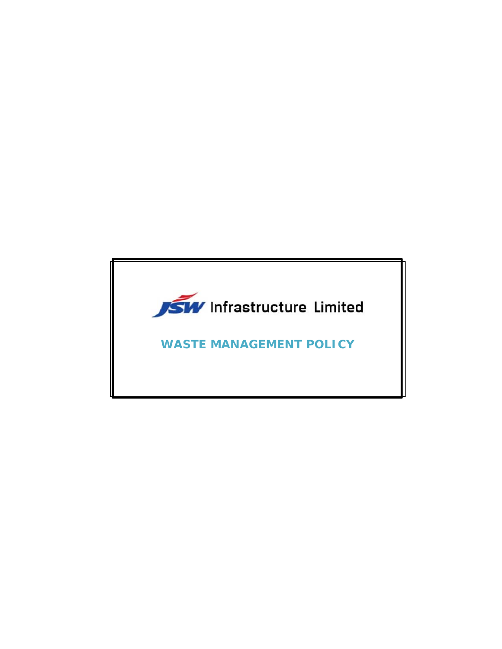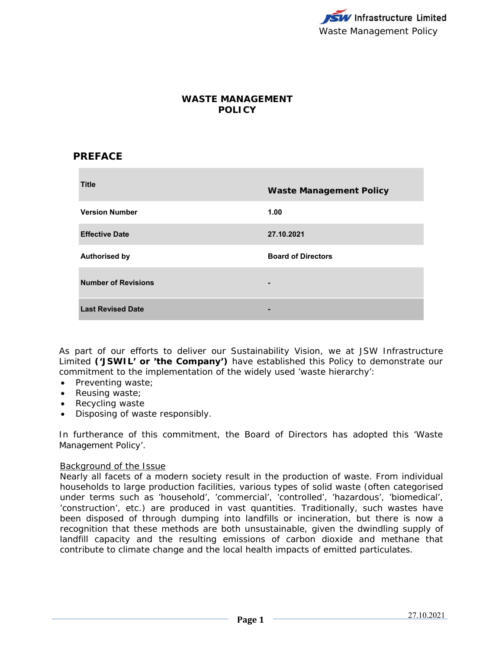

# **WASTE MANAGEMENT POLICY**

## **PREFACE**

| <b>Title</b>               | <b>Waste Management Policy</b> |
|----------------------------|--------------------------------|
| <b>Version Number</b>      | 1.00                           |
| <b>Effective Date</b>      | 27.10.2021                     |
| <b>Authorised by</b>       | <b>Board of Directors</b>      |
| <b>Number of Revisions</b> | $\blacksquare$                 |
| <b>Last Revised Date</b>   | -                              |

As part of our efforts to deliver our Sustainability Vision, we at JSW Infrastructure Limited **('JSWIL' or 'the Company')** have established this Policy to demonstrate our commitment to the implementation of the widely used 'waste hierarchy':

- Preventing waste;
- Reusing waste;
- Recycling waste
- Disposing of waste responsibly.

In furtherance of this commitment, the Board of Directors has adopted this 'Waste Management Policy'.

#### Background of the Issue

Nearly all facets of a modern society result in the production of waste. From individual households to large production facilities, various types of solid waste (often categorised under terms such as 'household', 'commercial', 'controlled', 'hazardous', 'biomedical', 'construction', etc.) are produced in vast quantities. Traditionally, such wastes have been disposed of through dumping into landfills or incineration, but there is now a recognition that these methods are both unsustainable, given the dwindling supply of landfill capacity and the resulting emissions of carbon dioxide and methane that contribute to climate change and the local health impacts of emitted particulates.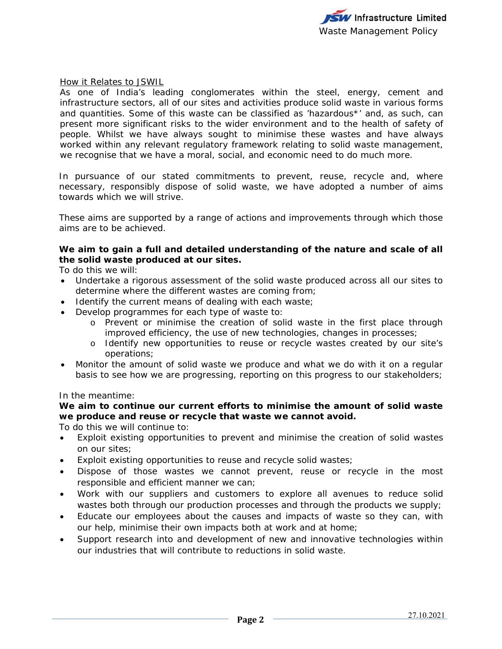

How it Relates to JSWIL

As one of India's leading conglomerates within the steel, energy, cement and infrastructure sectors, all of our sites and activities produce solid waste in various forms and quantities. Some of this waste can be classified as 'hazardous\*' and, as such, can present more significant risks to the wider environment and to the health of safety of people. Whilst we have always sought to minimise these wastes and have always worked within any relevant regulatory framework relating to solid waste management, we recognise that we have a moral, social, and economic need to do much more.

In pursuance of our stated commitments to prevent, reuse, recycle and, where necessary, responsibly dispose of solid waste, we have adopted a number of aims towards which we will strive.

These aims are supported by a range of actions and improvements through which those aims are to be achieved.

### **We aim to gain a full and detailed understanding of the nature and scale of all the solid waste produced at our sites.**

To do this we will:

- Undertake a rigorous assessment of the solid waste produced across all our sites to determine where the different wastes are coming from;
- Identify the current means of dealing with each waste;
- Develop programmes for each type of waste to:
	- o Prevent or minimise the creation of solid waste in the first place through improved efficiency, the use of new technologies, changes in processes;
	- o Identify new opportunities to reuse or recycle wastes created by our site's operations;
- Monitor the amount of solid waste we produce and what we do with it on a regular basis to see how we are progressing, reporting on this progress to our stakeholders;

#### In the meantime:

## **We aim to continue our current efforts to minimise the amount of solid waste we produce and reuse or recycle that waste we cannot avoid.**

To do this we will continue to:

- Exploit existing opportunities to prevent and minimise the creation of solid wastes on our sites;
- Exploit existing opportunities to reuse and recycle solid wastes;
- Dispose of those wastes we cannot prevent, reuse or recycle in the most responsible and efficient manner we can;
- Work with our suppliers and customers to explore all avenues to reduce solid wastes both through our production processes and through the products we supply;
- Educate our employees about the causes and impacts of waste so they can, with our help, minimise their own impacts both at work and at home;
- Support research into and development of new and innovative technologies within our industries that will contribute to reductions in solid waste.